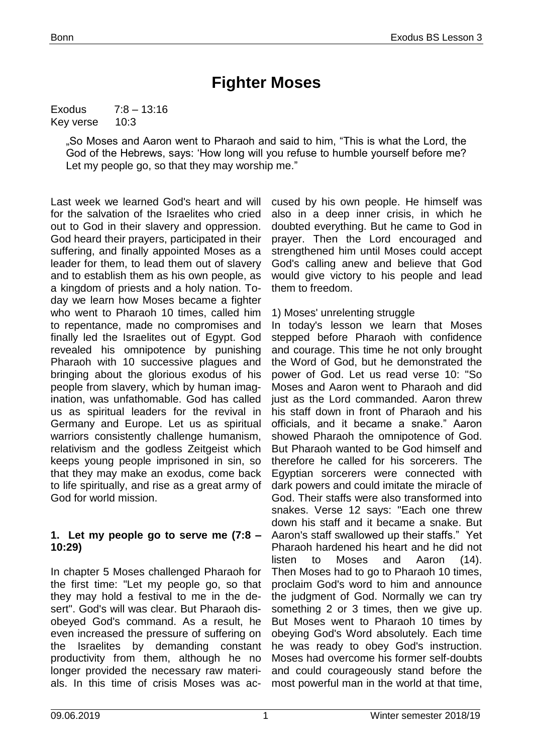# **Fighter Moses**

Exodus 7:8 – 13:16 Key verse 10:3

> "So Moses and Aaron went to Pharaoh and said to him, "This is what the Lord, the God of the Hebrews, says: 'How long will you refuse to humble yourself before me? Let my people go, so that they may worship me."

Last week we learned God's heart and will for the salvation of the Israelites who cried out to God in their slavery and oppression. God heard their prayers, participated in their suffering, and finally appointed Moses as a leader for them, to lead them out of slavery and to establish them as his own people, as a kingdom of priests and a holy nation. Today we learn how Moses became a fighter who went to Pharaoh 10 times, called him to repentance, made no compromises and finally led the Israelites out of Egypt. God revealed his omnipotence by punishing Pharaoh with 10 successive plagues and bringing about the glorious exodus of his people from slavery, which by human imagination, was unfathomable. God has called us as spiritual leaders for the revival in Germany and Europe. Let us as spiritual warriors consistently challenge humanism, relativism and the godless Zeitgeist which keeps young people imprisoned in sin, so that they may make an exodus, come back to life spiritually, and rise as a great army of God for world mission.

#### **1. Let my people go to serve me (7:8 – 10:29)**

In chapter 5 Moses challenged Pharaoh for the first time: "Let my people go, so that they may hold a festival to me in the desert". God's will was clear. But Pharaoh disobeyed God's command. As a result, he even increased the pressure of suffering on the Israelites by demanding constant productivity from them, although he no longer provided the necessary raw materials. In this time of crisis Moses was ac-

cused by his own people. He himself was also in a deep inner crisis, in which he doubted everything. But he came to God in prayer. Then the Lord encouraged and strengthened him until Moses could accept God's calling anew and believe that God would give victory to his people and lead them to freedom.

#### 1) Moses' unrelenting struggle

In today's lesson we learn that Moses stepped before Pharaoh with confidence and courage. This time he not only brought the Word of God, but he demonstrated the power of God. Let us read verse 10: "So Moses and Aaron went to Pharaoh and did just as the Lord commanded. Aaron threw his staff down in front of Pharaoh and his officials, and it became a snake." Aaron showed Pharaoh the omnipotence of God. But Pharaoh wanted to be God himself and therefore he called for his sorcerers. The Egyptian sorcerers were connected with dark powers and could imitate the miracle of God. Their staffs were also transformed into snakes. Verse 12 says: "Each one threw down his staff and it became a snake. But Aaron's staff swallowed up their staffs." Yet Pharaoh hardened his heart and he did not listen to Moses and Aaron (14). Then Moses had to go to Pharaoh 10 times, proclaim God's word to him and announce the judgment of God. Normally we can try something 2 or 3 times, then we give up. But Moses went to Pharaoh 10 times by obeying God's Word absolutely. Each time he was ready to obey God's instruction. Moses had overcome his former self-doubts and could courageously stand before the most powerful man in the world at that time,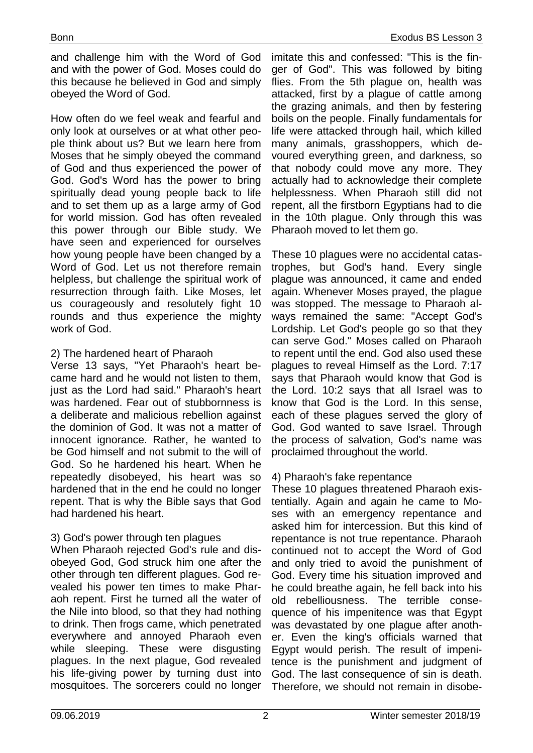and challenge him with the Word of God and with the power of God. Moses could do this because he believed in God and simply obeyed the Word of God.

How often do we feel weak and fearful and only look at ourselves or at what other people think about us? But we learn here from Moses that he simply obeyed the command of God and thus experienced the power of God. God's Word has the power to bring spiritually dead young people back to life and to set them up as a large army of God for world mission. God has often revealed this power through our Bible study. We have seen and experienced for ourselves how young people have been changed by a Word of God. Let us not therefore remain helpless, but challenge the spiritual work of resurrection through faith. Like Moses, let us courageously and resolutely fight 10 rounds and thus experience the mighty work of God.

## 2) The hardened heart of Pharaoh

Verse 13 says, "Yet Pharaoh's heart became hard and he would not listen to them, just as the Lord had said." Pharaoh's heart was hardened. Fear out of stubbornness is a deliberate and malicious rebellion against the dominion of God. It was not a matter of innocent ignorance. Rather, he wanted to be God himself and not submit to the will of God. So he hardened his heart. When he repeatedly disobeyed, his heart was so hardened that in the end he could no longer repent. That is why the Bible says that God had hardened his heart.

# 3) God's power through ten plagues

When Pharaoh rejected God's rule and disobeyed God, God struck him one after the other through ten different plagues. God revealed his power ten times to make Pharaoh repent. First he turned all the water of the Nile into blood, so that they had nothing to drink. Then frogs came, which penetrated everywhere and annoyed Pharaoh even while sleeping. These were disgusting plagues. In the next plague, God revealed his life-giving power by turning dust into mosquitoes. The sorcerers could no longer

imitate this and confessed: "This is the finger of God". This was followed by biting flies. From the 5th plague on, health was attacked, first by a plague of cattle among the grazing animals, and then by festering boils on the people. Finally fundamentals for life were attacked through hail, which killed many animals, grasshoppers, which devoured everything green, and darkness, so that nobody could move any more. They actually had to acknowledge their complete helplessness. When Pharaoh still did not repent, all the firstborn Egyptians had to die in the 10th plague. Only through this was Pharaoh moved to let them go.

These 10 plagues were no accidental catastrophes, but God's hand. Every single plague was announced, it came and ended again. Whenever Moses prayed, the plague was stopped. The message to Pharaoh always remained the same: "Accept God's Lordship. Let God's people go so that they can serve God." Moses called on Pharaoh to repent until the end. God also used these plagues to reveal Himself as the Lord. 7:17 says that Pharaoh would know that God is the Lord. 10:2 says that all Israel was to know that God is the Lord. In this sense, each of these plagues served the glory of God. God wanted to save Israel. Through the process of salvation, God's name was proclaimed throughout the world.

# 4) Pharaoh's fake repentance

These 10 plagues threatened Pharaoh existentially. Again and again he came to Moses with an emergency repentance and asked him for intercession. But this kind of repentance is not true repentance. Pharaoh continued not to accept the Word of God and only tried to avoid the punishment of God. Every time his situation improved and he could breathe again, he fell back into his old rebelliousness. The terrible consequence of his impenitence was that Egypt was devastated by one plague after another. Even the king's officials warned that Egypt would perish. The result of impenitence is the punishment and judgment of God. The last consequence of sin is death. Therefore, we should not remain in disobe-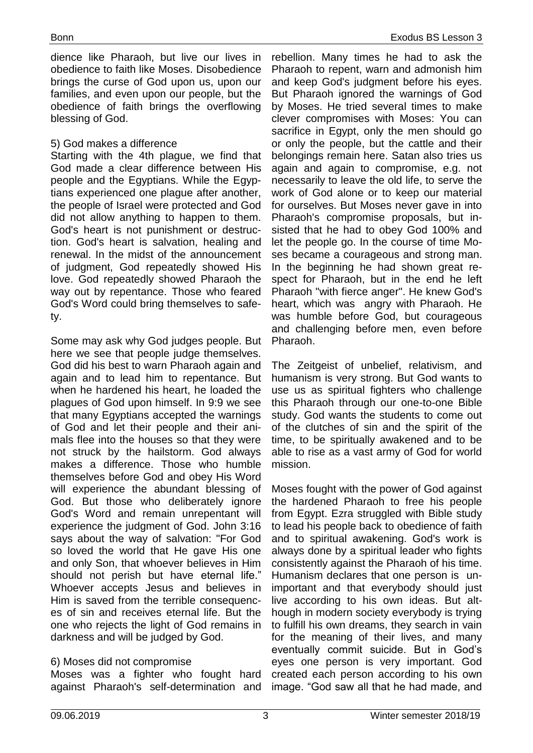dience like Pharaoh, but live our lives in obedience to faith like Moses. Disobedience brings the curse of God upon us, upon our families, and even upon our people, but the obedience of faith brings the overflowing blessing of God.

## 5) God makes a difference

Starting with the 4th plague, we find that God made a clear difference between His people and the Egyptians. While the Egyptians experienced one plague after another, the people of Israel were protected and God did not allow anything to happen to them. God's heart is not punishment or destruction. God's heart is salvation, healing and renewal. In the midst of the announcement of judgment, God repeatedly showed His love. God repeatedly showed Pharaoh the way out by repentance. Those who feared God's Word could bring themselves to safety.

Some may ask why God judges people. But here we see that people judge themselves. God did his best to warn Pharaoh again and again and to lead him to repentance. But when he hardened his heart, he loaded the plagues of God upon himself. In 9:9 we see that many Egyptians accepted the warnings of God and let their people and their animals flee into the houses so that they were not struck by the hailstorm. God always makes a difference. Those who humble themselves before God and obey His Word will experience the abundant blessing of God. But those who deliberately ignore God's Word and remain unrepentant will experience the judgment of God. John 3:16 says about the way of salvation: "For God so loved the world that He gave His one and only Son, that whoever believes in Him should not perish but have eternal life." Whoever accepts Jesus and believes in Him is saved from the terrible consequences of sin and receives eternal life. But the one who rejects the light of God remains in darkness and will be judged by God.

# 6) Moses did not compromise

Moses was a fighter who fought hard against Pharaoh's self-determination and

rebellion. Many times he had to ask the Pharaoh to repent, warn and admonish him and keep God's judgment before his eyes. But Pharaoh ignored the warnings of God by Moses. He tried several times to make clever compromises with Moses: You can sacrifice in Egypt, only the men should go or only the people, but the cattle and their belongings remain here. Satan also tries us again and again to compromise, e.g. not necessarily to leave the old life, to serve the work of God alone or to keep our material for ourselves. But Moses never gave in into Pharaoh's compromise proposals, but insisted that he had to obey God 100% and let the people go. In the course of time Moses became a courageous and strong man. In the beginning he had shown great respect for Pharaoh, but in the end he left Pharaoh "with fierce anger". He knew God's heart, which was angry with Pharaoh. He was humble before God, but courageous and challenging before men, even before Pharaoh.

The Zeitgeist of unbelief, relativism, and humanism is very strong. But God wants to use us as spiritual fighters who challenge this Pharaoh through our one-to-one Bible study. God wants the students to come out of the clutches of sin and the spirit of the time, to be spiritually awakened and to be able to rise as a vast army of God for world mission.

Moses fought with the power of God against the hardened Pharaoh to free his people from Egypt. Ezra struggled with Bible study to lead his people back to obedience of faith and to spiritual awakening. God's work is always done by a spiritual leader who fights consistently against the Pharaoh of his time. Humanism declares that one person is unimportant and that everybody should just live according to his own ideas. But although in modern society everybody is trying to fulfill his own dreams, they search in vain for the meaning of their lives, and many eventually commit suicide. But in God's eyes one person is very important. God created each person according to his own image. "God saw all that he had made, and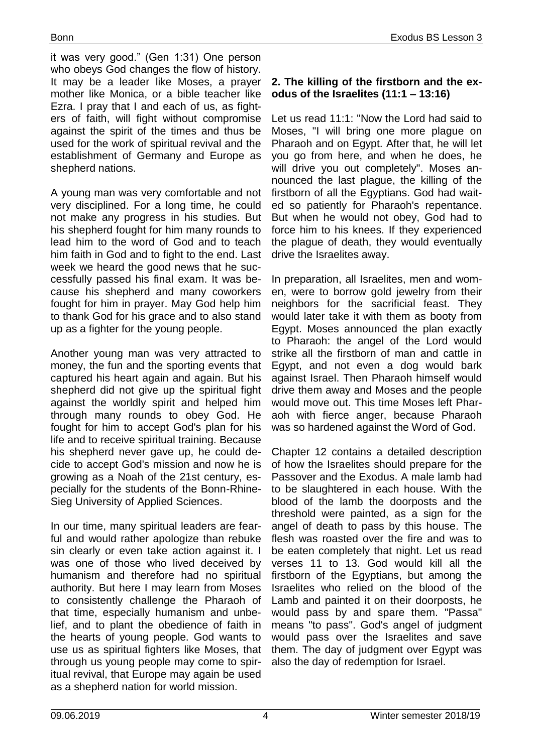it was very good." (Gen 1:31) One person who obeys God changes the flow of history. It may be a leader like Moses, a prayer mother like Monica, or a bible teacher like Ezra. I pray that I and each of us, as fighters of faith, will fight without compromise against the spirit of the times and thus be used for the work of spiritual revival and the establishment of Germany and Europe as shepherd nations.

A young man was very comfortable and not very disciplined. For a long time, he could not make any progress in his studies. But his shepherd fought for him many rounds to lead him to the word of God and to teach him faith in God and to fight to the end. Last week we heard the good news that he successfully passed his final exam. It was because his shepherd and many coworkers fought for him in prayer. May God help him to thank God for his grace and to also stand up as a fighter for the young people.

Another young man was very attracted to money, the fun and the sporting events that captured his heart again and again. But his shepherd did not give up the spiritual fight against the worldly spirit and helped him through many rounds to obey God. He fought for him to accept God's plan for his life and to receive spiritual training. Because his shepherd never gave up, he could decide to accept God's mission and now he is growing as a Noah of the 21st century, especially for the students of the Bonn-Rhine-Sieg University of Applied Sciences.

In our time, many spiritual leaders are fearful and would rather apologize than rebuke sin clearly or even take action against it. I was one of those who lived deceived by humanism and therefore had no spiritual authority. But here I may learn from Moses to consistently challenge the Pharaoh of that time, especially humanism and unbelief, and to plant the obedience of faith in the hearts of young people. God wants to use us as spiritual fighters like Moses, that through us young people may come to spiritual revival, that Europe may again be used as a shepherd nation for world mission.

## **2. The killing of the firstborn and the exodus of the Israelites (11:1 – 13:16)**

Let us read 11:1: "Now the Lord had said to Moses, "I will bring one more plague on Pharaoh and on Egypt. After that, he will let you go from here, and when he does, he will drive you out completely". Moses announced the last plague, the killing of the firstborn of all the Egyptians. God had waited so patiently for Pharaoh's repentance. But when he would not obey, God had to force him to his knees. If they experienced the plague of death, they would eventually drive the Israelites away.

In preparation, all Israelites, men and women, were to borrow gold jewelry from their neighbors for the sacrificial feast. They would later take it with them as booty from Egypt. Moses announced the plan exactly to Pharaoh: the angel of the Lord would strike all the firstborn of man and cattle in Egypt, and not even a dog would bark against Israel. Then Pharaoh himself would drive them away and Moses and the people would move out. This time Moses left Pharaoh with fierce anger, because Pharaoh was so hardened against the Word of God.

Chapter 12 contains a detailed description of how the Israelites should prepare for the Passover and the Exodus. A male lamb had to be slaughtered in each house. With the blood of the lamb the doorposts and the threshold were painted, as a sign for the angel of death to pass by this house. The flesh was roasted over the fire and was to be eaten completely that night. Let us read verses 11 to 13. God would kill all the firstborn of the Egyptians, but among the Israelites who relied on the blood of the Lamb and painted it on their doorposts, he would pass by and spare them. "Passa" means "to pass". God's angel of judgment would pass over the Israelites and save them. The day of judgment over Egypt was also the day of redemption for Israel.